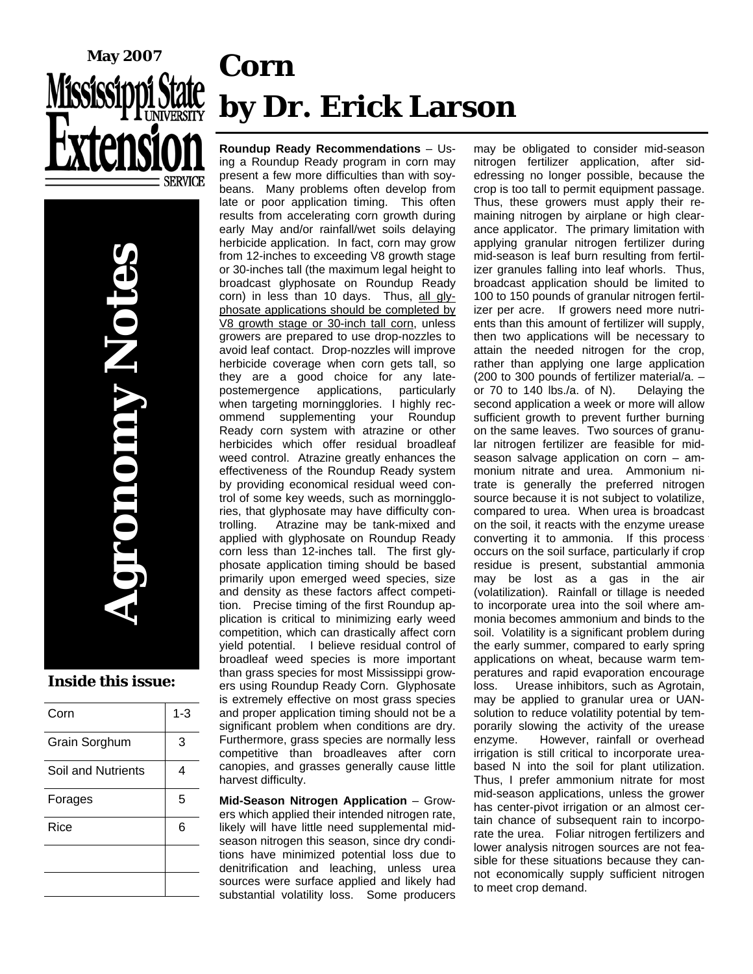

# **Corn by Dr. Erick Larson**

**Agronomy Notes DIODINY NOT Inside this issue:** 

| Corn               | $1 - 3$ |
|--------------------|---------|
| Grain Sorghum      | 3       |
| Soil and Nutrients | 4       |
| Forages            | 5       |
| Rice               | 6       |
|                    |         |
|                    |         |

**Roundup Ready Recommendations** – Using a Roundup Ready program in corn may present a few more difficulties than with soybeans. Many problems often develop from late or poor application timing. This often results from accelerating corn growth during early May and/or rainfall/wet soils delaying herbicide application. In fact, corn may grow from 12-inches to exceeding V8 growth stage or 30-inches tall (the maximum legal height to broadcast glyphosate on Roundup Ready corn) in less than 10 days. Thus, all glyphosate applications should be completed by V8 growth stage or 30-inch tall corn, unless growers are prepared to use drop-nozzles to avoid leaf contact. Drop-nozzles will improve herbicide coverage when corn gets tall, so they are a good choice for any latepostemergence applications, particularly when targeting morningglories. I highly recommend supplementing your Roundup Ready corn system with atrazine or other herbicides which offer residual broadleaf weed control. Atrazine greatly enhances the effectiveness of the Roundup Ready system by providing economical residual weed control of some key weeds, such as morningglories, that glyphosate may have difficulty controlling. Atrazine may be tank-mixed and applied with glyphosate on Roundup Ready corn less than 12-inches tall. The first glyphosate application timing should be based primarily upon emerged weed species, size and density as these factors affect competition. Precise timing of the first Roundup application is critical to minimizing early weed competition, which can drastically affect corn yield potential. I believe residual control of broadleaf weed species is more important than grass species for most Mississippi growers using Roundup Ready Corn. Glyphosate is extremely effective on most grass species and proper application timing should not be a significant problem when conditions are dry. Furthermore, grass species are normally less competitive than broadleaves after corn canopies, and grasses generally cause little harvest difficulty.

**Mid-Season Nitrogen Application** – Growers which applied their intended nitrogen rate, likely will have little need supplemental midseason nitrogen this season, since dry conditions have minimized potential loss due to denitrification and leaching, unless urea sources were surface applied and likely had substantial volatility loss. Some producers

may be obligated to consider mid-season nitrogen fertilizer application, after sidedressing no longer possible, because the crop is too tall to permit equipment passage. Thus, these growers must apply their remaining nitrogen by airplane or high clearance applicator. The primary limitation with applying granular nitrogen fertilizer during mid-season is leaf burn resulting from fertilizer granules falling into leaf whorls. Thus, broadcast application should be limited to 100 to 150 pounds of granular nitrogen fertilizer per acre. If growers need more nutrients than this amount of fertilizer will supply, then two applications will be necessary to attain the needed nitrogen for the crop, rather than applying one large application (200 to 300 pounds of fertilizer material/a. – or 70 to 140 lbs./a. of N). Delaying the second application a week or more will allow sufficient growth to prevent further burning on the same leaves. Two sources of granular nitrogen fertilizer are feasible for midseason salvage application on corn – ammonium nitrate and urea. Ammonium nitrate is generally the preferred nitrogen source because it is not subject to volatilize, compared to urea. When urea is broadcast on the soil, it reacts with the enzyme urease converting it to ammonia. If this process occurs on the soil surface, particularly if crop residue is present, substantial ammonia may be lost as a gas in the air (volatilization). Rainfall or tillage is needed to incorporate urea into the soil where ammonia becomes ammonium and binds to the soil. Volatility is a significant problem during the early summer, compared to early spring applications on wheat, because warm temperatures and rapid evaporation encourage loss. Urease inhibitors, such as Agrotain, may be applied to granular urea or UANsolution to reduce volatility potential by temporarily slowing the activity of the urease enzyme. However, rainfall or overhead irrigation is still critical to incorporate ureabased N into the soil for plant utilization. Thus, I prefer ammonium nitrate for most mid-season applications, unless the grower has center-pivot irrigation or an almost certain chance of subsequent rain to incorporate the urea. Foliar nitrogen fertilizers and lower analysis nitrogen sources are not feasible for these situations because they cannot economically supply sufficient nitrogen to meet crop demand.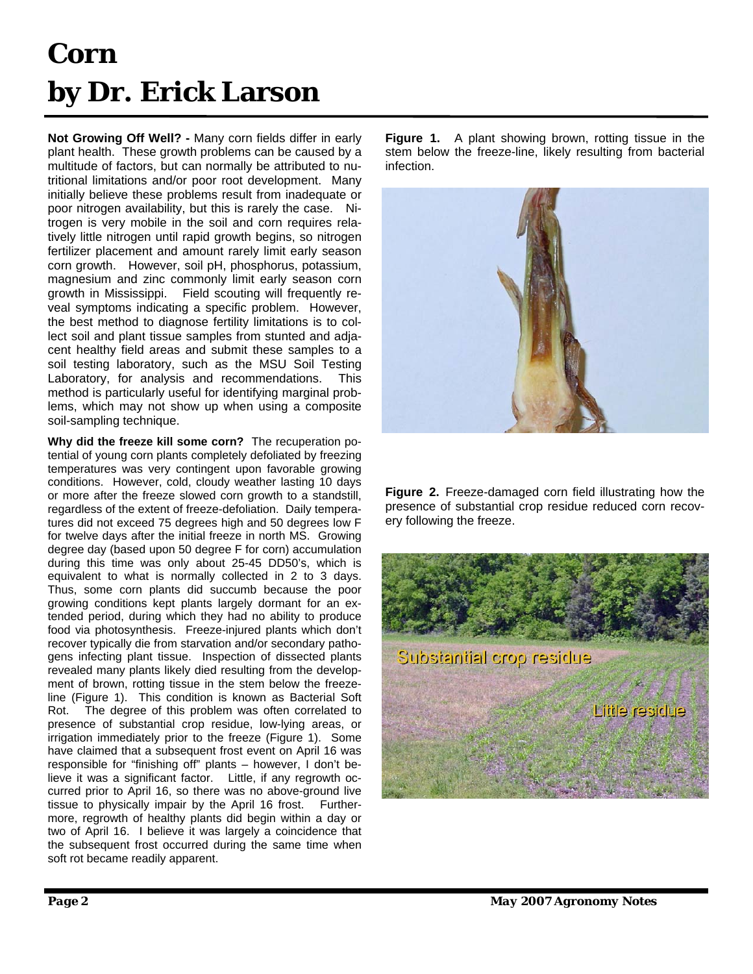# **Corn by Dr. Erick Larson**

**Not Growing Off Well? -** Many corn fields differ in early plant health. These growth problems can be caused by a multitude of factors, but can normally be attributed to nutritional limitations and/or poor root development. Many initially believe these problems result from inadequate or poor nitrogen availability, but this is rarely the case. Nitrogen is very mobile in the soil and corn requires relatively little nitrogen until rapid growth begins, so nitrogen fertilizer placement and amount rarely limit early season corn growth. However, soil pH, phosphorus, potassium, magnesium and zinc commonly limit early season corn growth in Mississippi. Field scouting will frequently reveal symptoms indicating a specific problem. However, the best method to diagnose fertility limitations is to collect soil and plant tissue samples from stunted and adjacent healthy field areas and submit these samples to a soil testing laboratory, such as the MSU Soil Testing Laboratory, for analysis and recommendations. This method is particularly useful for identifying marginal problems, which may not show up when using a composite soil-sampling technique.

**Why did the freeze kill some corn?** The recuperation potential of young corn plants completely defoliated by freezing temperatures was very contingent upon favorable growing conditions. However, cold, cloudy weather lasting 10 days or more after the freeze slowed corn growth to a standstill, regardless of the extent of freeze-defoliation. Daily temperatures did not exceed 75 degrees high and 50 degrees low F for twelve days after the initial freeze in north MS. Growing degree day (based upon 50 degree F for corn) accumulation during this time was only about 25-45 DD50's, which is equivalent to what is normally collected in 2 to 3 days. Thus, some corn plants did succumb because the poor growing conditions kept plants largely dormant for an extended period, during which they had no ability to produce food via photosynthesis. Freeze-injured plants which don't recover typically die from starvation and/or secondary pathogens infecting plant tissue. Inspection of dissected plants revealed many plants likely died resulting from the development of brown, rotting tissue in the stem below the freezeline (Figure 1). This condition is known as Bacterial Soft Rot. The degree of this problem was often correlated to presence of substantial crop residue, low-lying areas, or irrigation immediately prior to the freeze (Figure 1). Some have claimed that a subsequent frost event on April 16 was responsible for "finishing off" plants – however, I don't believe it was a significant factor. Little, if any regrowth occurred prior to April 16, so there was no above-ground live tissue to physically impair by the April 16 frost. Furthermore, regrowth of healthy plants did begin within a day or two of April 16. I believe it was largely a coincidence that the subsequent frost occurred during the same time when soft rot became readily apparent.

**Figure 1.** A plant showing brown, rotting tissue in the stem below the freeze-line, likely resulting from bacterial infection.



**Figure 2.** Freeze-damaged corn field illustrating how the presence of substantial crop residue reduced corn recovery following the freeze.

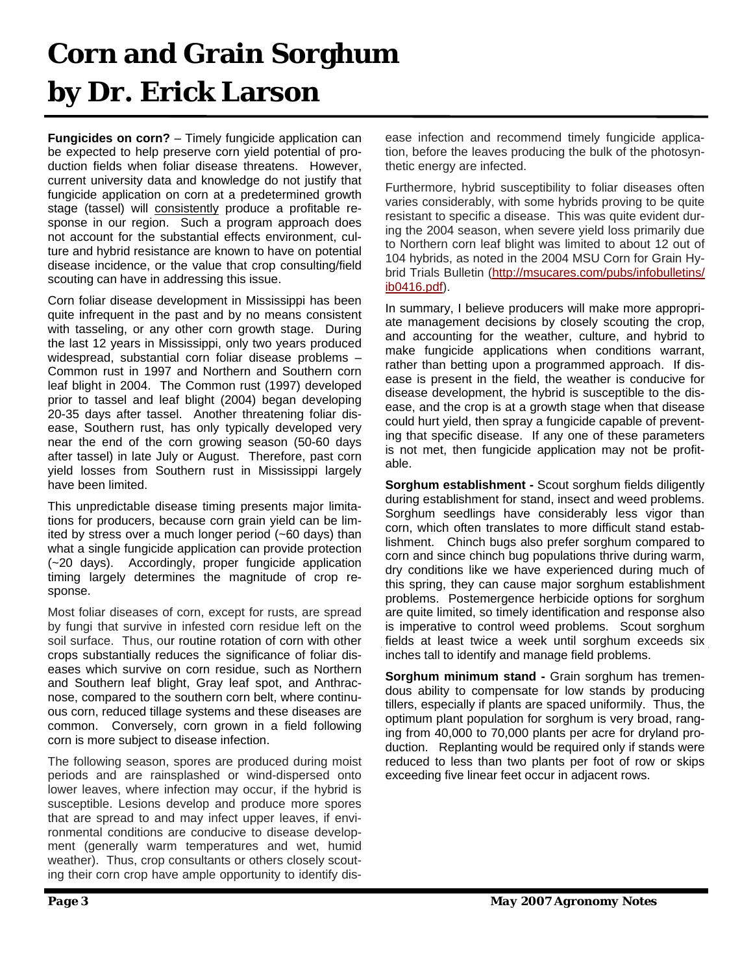# **Corn and Grain Sorghum by Dr. Erick Larson**

**Fungicides on corn?** – Timely fungicide application can be expected to help preserve corn yield potential of production fields when foliar disease threatens. However, current university data and knowledge do not justify that fungicide application on corn at a predetermined growth stage (tassel) will consistently produce a profitable response in our region. Such a program approach does not account for the substantial effects environment, culture and hybrid resistance are known to have on potential disease incidence, or the value that crop consulting/field scouting can have in addressing this issue.

Corn foliar disease development in Mississippi has been quite infrequent in the past and by no means consistent with tasseling, or any other corn growth stage. During the last 12 years in Mississippi, only two years produced widespread, substantial corn foliar disease problems – Common rust in 1997 and Northern and Southern corn leaf blight in 2004. The Common rust (1997) developed prior to tassel and leaf blight (2004) began developing 20-35 days after tassel. Another threatening foliar disease, Southern rust, has only typically developed very near the end of the corn growing season (50-60 days after tassel) in late July or August. Therefore, past corn yield losses from Southern rust in Mississippi largely have been limited.

This unpredictable disease timing presents major limitations for producers, because corn grain yield can be limited by stress over a much longer period (~60 days) than what a single fungicide application can provide protection (~20 days). Accordingly, proper fungicide application timing largely determines the magnitude of crop response.

Most foliar diseases of corn, except for rusts, are spread by fungi that survive in infested corn residue left on the soil surface. Thus, our routine rotation of corn with other crops substantially reduces the significance of foliar diseases which survive on corn residue, such as Northern and Southern leaf blight, Gray leaf spot, and Anthracnose, compared to the southern corn belt, where continuous corn, reduced tillage systems and these diseases are common. Conversely, corn grown in a field following corn is more subject to disease infection.

The following season, spores are produced during moist periods and are rainsplashed or wind-dispersed onto lower leaves, where infection may occur, if the hybrid is susceptible. Lesions develop and produce more spores that are spread to and may infect upper leaves, if environmental conditions are conducive to disease development (generally warm temperatures and wet, humid weather). Thus, crop consultants or others closely scouting their corn crop have ample opportunity to identify disease infection and recommend timely fungicide application, before the leaves producing the bulk of the photosynthetic energy are infected.

Furthermore, hybrid susceptibility to foliar diseases often varies considerably, with some hybrids proving to be quite resistant to specific a disease. This was quite evident during the 2004 season, when severe yield loss primarily due to Northern corn leaf blight was limited to about 12 out of 104 hybrids, as noted in the 2004 MSU Corn for Grain Hybrid Trials Bulletin [\(http://msucares.com/pubs/infobulletins/](http://msucares.com/pubs/infobulletins/ib0416.pdf) [ib0416.pd](http://msucares.com/pubs/infobulletins/ib0416.pdf)f).

In summary, I believe producers will make more appropriate management decisions by closely scouting the crop, and accounting for the weather, culture, and hybrid to make fungicide applications when conditions warrant, rather than betting upon a programmed approach. If disease is present in the field, the weather is conducive for disease development, the hybrid is susceptible to the disease, and the crop is at a growth stage when that disease could hurt yield, then spray a fungicide capable of preventing that specific disease. If any one of these parameters is not met, then fungicide application may not be profitable.

**Sorghum establishment -** Scout sorghum fields diligently during establishment for stand, insect and weed problems. Sorghum seedlings have considerably less vigor than corn, which often translates to more difficult stand establishment. Chinch bugs also prefer sorghum compared to corn and since chinch bug populations thrive during warm, dry conditions like we have experienced during much of this spring, they can cause major sorghum establishment problems. Postemergence herbicide options for sorghum are quite limited, so timely identification and response also is imperative to control weed problems. Scout sorghum fields at least twice a week until sorghum exceeds six inches tall to identify and manage field problems.

**Sorghum minimum stand -** Grain sorghum has tremendous ability to compensate for low stands by producing tillers, especially if plants are spaced uniformily. Thus, the optimum plant population for sorghum is very broad, ranging from 40,000 to 70,000 plants per acre for dryland production. Replanting would be required only if stands were reduced to less than two plants per foot of row or skips exceeding five linear feet occur in adjacent rows.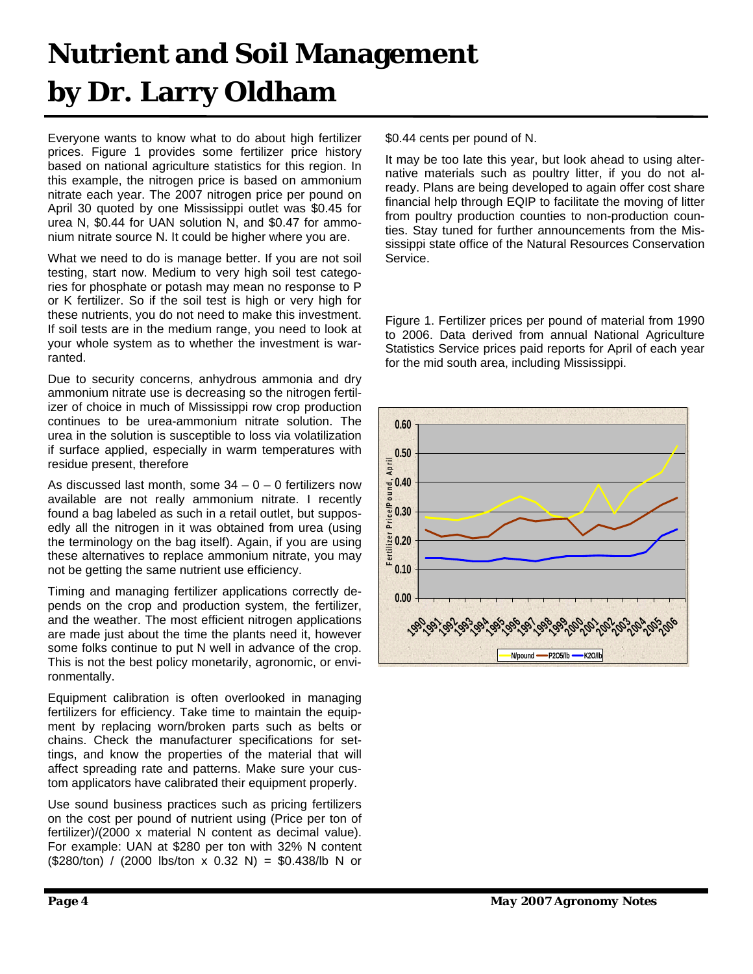# **Nutrient and Soil Management by Dr. Larry Oldham**

Everyone wants to know what to do about high fertilizer prices. Figure 1 provides some fertilizer price history based on national agriculture statistics for this region. In this example, the nitrogen price is based on ammonium nitrate each year. The 2007 nitrogen price per pound on April 30 quoted by one Mississippi outlet was \$0.45 for urea N, \$0.44 for UAN solution N, and \$0.47 for ammonium nitrate source N. It could be higher where you are.

What we need to do is manage better. If you are not soil testing, start now. Medium to very high soil test categories for phosphate or potash may mean no response to P or K fertilizer. So if the soil test is high or very high for these nutrients, you do not need to make this investment. If soil tests are in the medium range, you need to look at your whole system as to whether the investment is warranted.

Due to security concerns, anhydrous ammonia and dry ammonium nitrate use is decreasing so the nitrogen fertilizer of choice in much of Mississippi row crop production continues to be urea-ammonium nitrate solution. The urea in the solution is susceptible to loss via volatilization if surface applied, especially in warm temperatures with residue present, therefore

As discussed last month, some  $34 - 0 - 0$  fertilizers now available are not really ammonium nitrate. I recently found a bag labeled as such in a retail outlet, but supposedly all the nitrogen in it was obtained from urea (using the terminology on the bag itself). Again, if you are using these alternatives to replace ammonium nitrate, you may not be getting the same nutrient use efficiency.

Timing and managing fertilizer applications correctly depends on the crop and production system, the fertilizer, and the weather. The most efficient nitrogen applications are made just about the time the plants need it, however some folks continue to put N well in advance of the crop. This is not the best policy monetarily, agronomic, or environmentally.

Equipment calibration is often overlooked in managing fertilizers for efficiency. Take time to maintain the equipment by replacing worn/broken parts such as belts or chains. Check the manufacturer specifications for settings, and know the properties of the material that will affect spreading rate and patterns. Make sure your custom applicators have calibrated their equipment properly.

Use sound business practices such as pricing fertilizers on the cost per pound of nutrient using (Price per ton of fertilizer)/(2000 x material N content as decimal value). For example: UAN at \$280 per ton with 32% N content  $($280/ton) / (2000$  lbs/ton x 0.32 N) = \$0.438/lb N or \$0.44 cents per pound of N.

It may be too late this year, but look ahead to using alternative materials such as poultry litter, if you do not already. Plans are being developed to again offer cost share financial help through EQIP to facilitate the moving of litter from poultry production counties to non-production counties. Stay tuned for further announcements from the Mississippi state office of the Natural Resources Conservation Service.

Figure 1. Fertilizer prices per pound of material from 1990 to 2006. Data derived from annual National Agriculture Statistics Service prices paid reports for April of each year for the mid south area, including Mississippi.

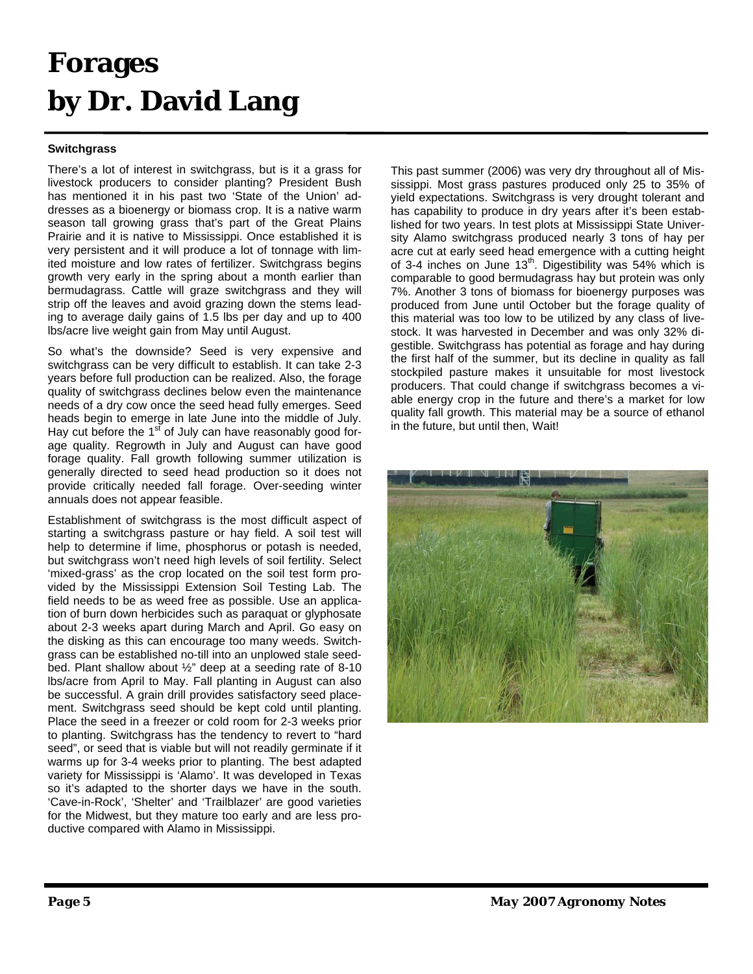### **Forages by Dr. David Lang**

#### **Switchgrass**

There's a lot of interest in switchgrass, but is it a grass for livestock producers to consider planting? President Bush has mentioned it in his past two 'State of the Union' addresses as a bioenergy or biomass crop. It is a native warm season tall growing grass that's part of the Great Plains Prairie and it is native to Mississippi. Once established it is very persistent and it will produce a lot of tonnage with limited moisture and low rates of fertilizer. Switchgrass begins growth very early in the spring about a month earlier than bermudagrass. Cattle will graze switchgrass and they will strip off the leaves and avoid grazing down the stems leading to average daily gains of 1.5 lbs per day and up to 400 lbs/acre live weight gain from May until August.

So what's the downside? Seed is very expensive and switchgrass can be very difficult to establish. It can take 2-3 years before full production can be realized. Also, the forage quality of switchgrass declines below even the maintenance needs of a dry cow once the seed head fully emerges. Seed heads begin to emerge in late June into the middle of July. Hay cut before the  $1<sup>st</sup>$  of July can have reasonably good forage quality. Regrowth in July and August can have good forage quality. Fall growth following summer utilization is generally directed to seed head production so it does not provide critically needed fall forage. Over-seeding winter annuals does not appear feasible.

Establishment of switchgrass is the most difficult aspect of starting a switchgrass pasture or hay field. A soil test will help to determine if lime, phosphorus or potash is needed, but switchgrass won't need high levels of soil fertility. Select 'mixed-grass' as the crop located on the soil test form provided by the Mississippi Extension Soil Testing Lab. The field needs to be as weed free as possible. Use an application of burn down herbicides such as paraquat or glyphosate about 2-3 weeks apart during March and April. Go easy on the disking as this can encourage too many weeds. Switchgrass can be established no-till into an unplowed stale seedbed. Plant shallow about ½" deep at a seeding rate of 8-10 lbs/acre from April to May. Fall planting in August can also be successful. A grain drill provides satisfactory seed placement. Switchgrass seed should be kept cold until planting. Place the seed in a freezer or cold room for 2-3 weeks prior to planting. Switchgrass has the tendency to revert to "hard seed", or seed that is viable but will not readily germinate if it warms up for 3-4 weeks prior to planting. The best adapted variety for Mississippi is 'Alamo'. It was developed in Texas so it's adapted to the shorter days we have in the south. 'Cave-in-Rock', 'Shelter' and 'Trailblazer' are good varieties for the Midwest, but they mature too early and are less productive compared with Alamo in Mississippi.

This past summer (2006) was very dry throughout all of Mississippi. Most grass pastures produced only 25 to 35% of yield expectations. Switchgrass is very drought tolerant and has capability to produce in dry years after it's been established for two years. In test plots at Mississippi State University Alamo switchgrass produced nearly 3 tons of hay per acre cut at early seed head emergence with a cutting height of 3-4 inches on June  $13<sup>th</sup>$ . Digestibility was 54% which is comparable to good bermudagrass hay but protein was only 7%. Another 3 tons of biomass for bioenergy purposes was produced from June until October but the forage quality of this material was too low to be utilized by any class of livestock. It was harvested in December and was only 32% digestible. Switchgrass has potential as forage and hay during the first half of the summer, but its decline in quality as fall stockpiled pasture makes it unsuitable for most livestock producers. That could change if switchgrass becomes a viable energy crop in the future and there's a market for low quality fall growth. This material may be a source of ethanol in the future, but until then, Wait!